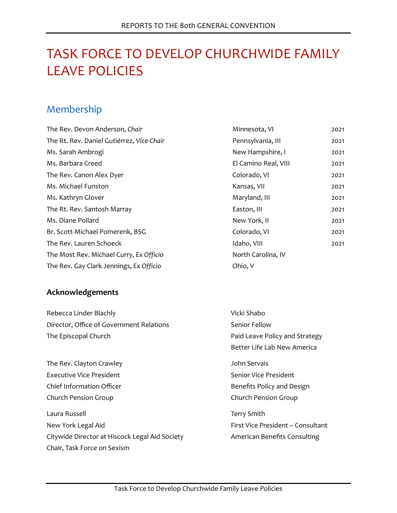# TASK FORCE TO DEVELOP CHURCHWIDE FAMILY LEAVE POLICIES

# Membership

| The Rev. Devon Anderson, Chair            | Minnesota, VI        | 2021 |
|-------------------------------------------|----------------------|------|
| The Rt. Rev. Daniel Gutiérrez, Vice-Chair | Pennsylvania, III    | 2021 |
| Ms. Sarah Ambrogi                         | New Hampshire, I     | 2021 |
| Ms. Barbara Creed                         | El Camino Real, VIII | 2021 |
| The Rev. Canon Alex Dyer                  | Colorado, VI         | 2021 |
| Ms. Michael Funston                       | Kansas, VII          | 2021 |
| Ms. Kathryn Glover                        | Maryland, III        | 2021 |
| The Rt. Rev. Santosh Marray               | Easton, III          | 2021 |
| Ms. Diane Pollard                         | New York, II         | 2021 |
| Br. Scott-Michael Pomerenk, BSG           | Colorado, VI         | 2021 |
| The Rev. Lauren Schoeck                   | Idaho, VIII          | 2021 |
| The Most Rev. Michael Curry, Ex Officio   | North Carolina, IV   |      |
| The Rev. Gay Clark Jennings, Ex Officio   | Ohio, V              |      |

### **Acknowledgements**

| Rebecca Linder Blachly                         | Vicki Shabo                         |
|------------------------------------------------|-------------------------------------|
| Director, Office of Government Relations       | Senior Fellow                       |
| The Episcopal Church                           | Paid Leave Policy and Strategy      |
|                                                | Better Life Lab New America         |
| The Rev. Clayton Crawley                       | John Servais                        |
| Executive Vice President                       | Senior Vice President               |
| Chief Information Officer                      | Benefits Policy and Design          |
| Church Pension Group                           | Church Pension Group                |
| Laura Russell                                  | <b>Terry Smith</b>                  |
| New York Legal Aid                             | First Vice President - Consultant   |
| Citywide Director at Hiscock Legal Aid Society | <b>American Benefits Consulting</b> |
| Chair, Task Force on Sexism                    |                                     |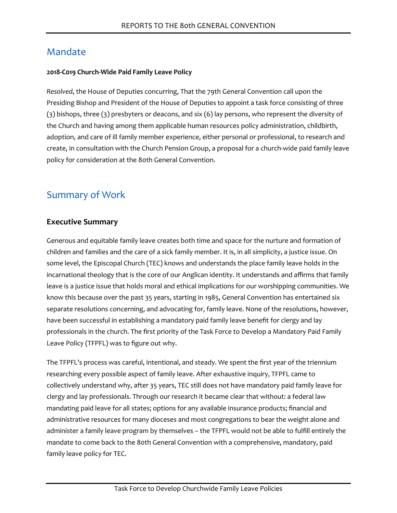# Mandate

#### **2018-C019 Church-Wide Paid Family Leave Policy**

*Resolved*, the House of Deputies concurring, That the 79th General Convention call upon the Presiding Bishop and President of the House of Deputies to appoint a task force consisting of three (3) bishops, three (3) presbyters or deacons, and six (6) lay persons, who represent the diversity of the Church and having among them applicable human resources policy administration, childbirth, adoption, and care of ill family member experience, either personal or professional, to research and create, in consultation with the Church Pension Group, a proposal for a church-wide paid family leave policy for consideration at the 80th General Convention.

# Summary of Work

### **Executive Summary**

Generous and equitable family leave creates both time and space for the nurture and formation of children and families and the care of a sick family member. It is, in all simplicity, a justice issue. On some level, the Episcopal Church (TEC) knows and understands the place family leave holds in the incarnational theology that is the core of our Anglican identity. It understands and affirms that family leave is a justice issue that holds moral and ethical implications for our worshipping communities. We know this because over the past 35 years, starting in 1985, General Convention has entertained six separate resolutions concerning, and advocating for, family leave. None of the resolutions, however, have been successful in establishing a mandatory paid family leave benefit for clergy and lay professionals in the church. The first priority of the Task Force to Develop a Mandatory Paid Family Leave Policy (TFPFL) was to figure out why.

The TFPFL's process was careful, intentional, and steady. We spent the first year of the triennium researching every possible aspect of family leave. After exhaustive inquiry, TFPFL came to collectively understand why, after 35 years, TEC still does not have mandatory paid family leave for clergy and lay professionals. Through our research it became clear that without: a federal law mandating paid leave for all states; options for any available insurance products; financial and administrative resources for many dioceses and most congregations to bear the weight alone and administer a family leave program by themselves – the TFPFL would not be able to fulfill entirely the mandate to come back to the 80th General Convention with a comprehensive, mandatory, paid family leave policy for TEC.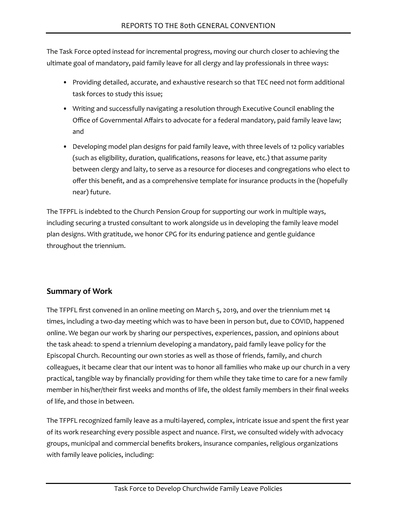The Task Force opted instead for incremental progress, moving our church closer to achieving the ultimate goal of mandatory, paid family leave for all clergy and lay professionals in three ways:

- Providing detailed, accurate, and exhaustive research so that TEC need not form additional task forces to study this issue;
- Writing and successfully navigating a resolution through Executive Council enabling the Office of Governmental Affairs to advocate for a federal mandatory, paid family leave law; and
- Developing model plan designs for paid family leave, with three levels of 12 policy variables (such as eligibility, duration, qualifications, reasons for leave, etc.) that assume parity between clergy and laity, to serve as a resource for dioceses and congregations who elect to offer this benefit, and as a comprehensive template for insurance products in the (hopefully near) future.

The TFPFL is indebted to the Church Pension Group for supporting our work in multiple ways, including securing a trusted consultant to work alongside us in developing the family leave model plan designs. With gratitude, we honor CPG for its enduring patience and gentle guidance throughout the triennium.

### **Summary of Work**

The TFPFL first convened in an online meeting on March 5, 2019, and over the triennium met 14 times, including a two-day meeting which was to have been in person but, due to COVID, happened online. We began our work by sharing our perspectives, experiences, passion, and opinions about the task ahead: to spend a triennium developing a mandatory, paid family leave policy for the Episcopal Church. Recounting our own stories as well as those of friends, family, and church colleagues, it became clear that our intent was to honor all families who make up our church in a very practical, tangible way by financially providing for them while they take time to care for a new family member in his/her/their first weeks and months of life, the oldest family members in their final weeks of life, and those in between.

The TFPFL recognized family leave as a multi-layered, complex, intricate issue and spent the first year of its work researching every possible aspect and nuance. First, we consulted widely with advocacy groups, municipal and commercial benefits brokers, insurance companies, religious organizations with family leave policies, including: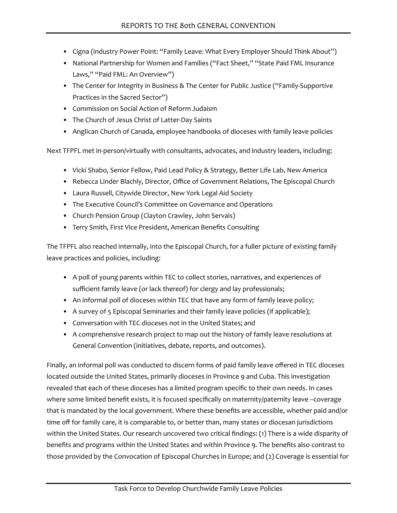- Cigna (industry Power Point: "Family Leave: What Every Employer Should Think About")
- National Partnership for Women and Families ("Fact Sheet," "State Paid FML Insurance Laws," "Paid FML: An Overview")
- The Center for Integrity in Business & The Center for Public Justice ("Family-Supportive Practices in the Sacred Sector")
- Commission on Social Action of Reform Judaism
- The Church of Jesus Christ of Latter-Day Saints
- Anglican Church of Canada, employee handbooks of dioceses with family leave policies

Next TFPFL met in-person/virtually with consultants, advocates, and industry leaders, including:

- Vicki Shabo, Senior Fellow, Paid Lead Policy & Strategy, Better Life Lab, New America
- Rebecca Linder Blachly, Director, Office of Government Relations, The Episcopal Church
- Laura Russell, Citywide Director, New York Legal Aid Society
- The Executive Council's Committee on Governance and Operations
- Church Pension Group (Clayton Crawley, John Servais)
- Terry Smith, First Vice President, American Benefits Consulting

The TFPFL also reached internally, into the Episcopal Church, for a fuller picture of existing family leave practices and policies, including:

- A poll of young parents within TEC to collect stories, narratives, and experiences of sufficient family leave (or lack thereof) for clergy and lay professionals;
- An informal poll of dioceses within TEC that have any form of family leave policy;
- A survey of 5 Episcopal Seminaries and their family leave policies (if applicable);
- Conversation with TEC dioceses not in the United States; and
- A comprehensive research project to map out the history of family leave resolutions at General Convention (initiatives, debate, reports, and outcomes).

Finally, an informal poll was conducted to discern forms of paid family leave offered in TEC dioceses located outside the United States, primarily dioceses in Province 9 and Cuba. This investigation revealed that each of these dioceses has a limited program specific to their own needs. In cases where some limited benefit exists, it is focused specifically on maternity/paternity leave --coverage that is mandated by the local government. Where these benefits are accessible, whether paid and/or time off for family care, it is comparable to, or better than, many states or diocesan jurisdictions within the United States. Our research uncovered two critical findings: (1) There is a wide disparity of benefits and programs within the United States and within Province 9. The benefits also contrast to those provided by the Convocation of Episcopal Churches in Europe; and (2) Coverage is essential for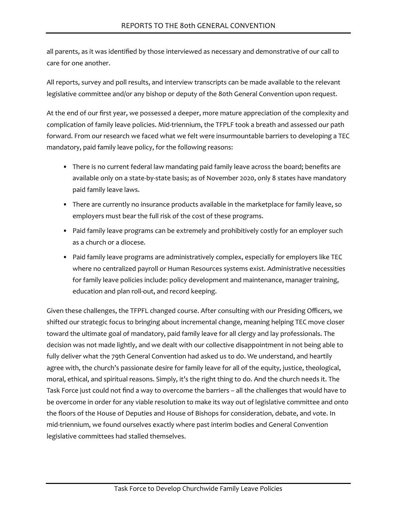all parents, as it was identified by those interviewed as necessary and demonstrative of our call to care for one another.

All reports, survey and poll results, and interview transcripts can be made available to the relevant legislative committee and/or any bishop or deputy of the 80th General Convention upon request.

At the end of our first year, we possessed a deeper, more mature appreciation of the complexity and complication of family leave policies. Mid-triennium, the TFPLF took a breath and assessed our path forward. From our research we faced what we felt were insurmountable barriers to developing a TEC mandatory, paid family leave policy, for the following reasons:

- There is no current federal law mandating paid family leave across the board; benefits are available only on a state-by-state basis; as of November 2020, only 8 states have mandatory paid family leave laws.
- There are currently no insurance products available in the marketplace for family leave, so employers must bear the full risk of the cost of these programs.
- Paid family leave programs can be extremely and prohibitively costly for an employer such as a church or a diocese.
- Paid family leave programs are administratively complex, especially for employers like TEC where no centralized payroll or Human Resources systems exist. Administrative necessities for family leave policies include: policy development and maintenance, manager training, education and plan roll-out, and record keeping.

Given these challenges, the TFPFL changed course. After consulting with our Presiding Officers, we shifted our strategic focus to bringing about incremental change, meaning helping TEC move closer toward the ultimate goal of mandatory, paid family leave for all clergy and lay professionals. The decision was not made lightly, and we dealt with our collective disappointment in not being able to fully deliver what the 79th General Convention had asked us to do. We understand, and heartily agree with, the church's passionate desire for family leave for all of the equity, justice, theological, moral, ethical, and spiritual reasons. Simply, it's the right thing to do. And the church needs it. The Task Force just could not find a way to overcome the barriers – all the challenges that would have to be overcome in order for any viable resolution to make its way out of legislative committee and onto the floors of the House of Deputies and House of Bishops for consideration, debate, and vote. In mid-triennium, we found ourselves exactly where past interim bodies and General Convention legislative committees had stalled themselves.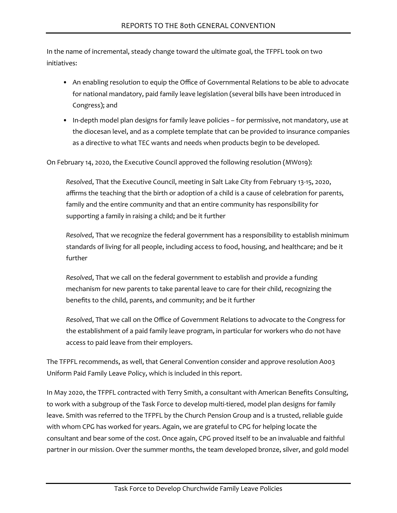In the name of incremental, steady change toward the ultimate goal, the TFPFL took on two initiatives:

- An enabling resolution to equip the Office of Governmental Relations to be able to advocate for national mandatory, paid family leave legislation (several bills have been introduced in Congress); and
- In-depth model plan designs for family leave policies for permissive, not mandatory, use at the diocesan level, and as a complete template that can be provided to insurance companies as a directive to what TEC wants and needs when products begin to be developed.

On February 14, 2020, the Executive Council approved the following resolution (MW019):

*Resolved*, That the Executive Council, meeting in Salt Lake City from February 13-15, 2020, affirms the teaching that the birth or adoption of a child is a cause of celebration for parents, family and the entire community and that an entire community has responsibility for supporting a family in raising a child; and be it further

*Resolved*, That we recognize the federal government has a responsibility to establish minimum standards of living for all people, including access to food, housing, and healthcare; and be it further

*Resolved*, That we call on the federal government to establish and provide a funding mechanism for new parents to take parental leave to care for their child, recognizing the benefits to the child, parents, and community; and be it further

*Resolved*, That we call on the Office of Government Relations to advocate to the Congress for the establishment of a paid family leave program, in particular for workers who do not have access to paid leave from their employers.

The TFPFL recommends, as well, that General Convention consider and approve resolution A003 Uniform Paid Family Leave Policy, which is included in this report.

In May 2020, the TFPFL contracted with Terry Smith, a consultant with American Benefits Consulting, to work with a subgroup of the Task Force to develop multi-tiered, model plan designs for family leave. Smith was referred to the TFPFL by the Church Pension Group and is a trusted, reliable guide with whom CPG has worked for years. Again, we are grateful to CPG for helping locate the consultant and bear some of the cost. Once again, CPG proved itself to be an invaluable and faithful partner in our mission. Over the summer months, the team developed bronze, silver, and gold model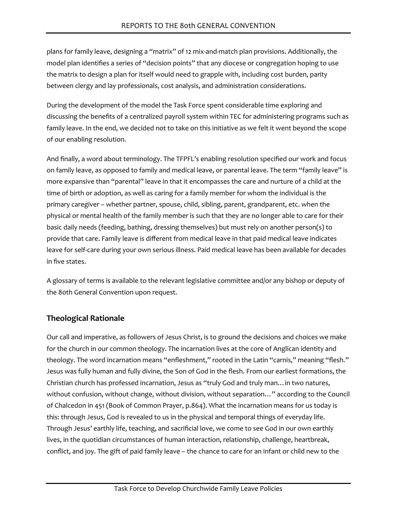plans for family leave, designing a "matrix" of 12 mix-and-match plan provisions. Additionally, the model plan identifies a series of "decision points" that any diocese or congregation hoping to use the matrix to design a plan for itself would need to grapple with, including cost burden, parity between clergy and lay professionals, cost analysis, and administration considerations.

During the development of the model the Task Force spent considerable time exploring and discussing the benefits of a centralized payroll system within TEC for administering programs such as family leave. In the end, we decided not to take on this initiative as we felt it went beyond the scope of our enabling resolution.

And finally, a word about terminology. The TFPFL's enabling resolution specified our work and focus on family leave, as opposed to family and medical leave, or parental leave. The term "family leave" is more expansive than "parental" leave in that it encompasses the care and nurture of a child at the time of birth or adoption, as well as caring for a family member for whom the individual is the primary caregiver – whether partner, spouse, child, sibling, parent, grandparent, etc. when the physical or mental health of the family member is such that they are no longer able to care for their basic daily needs (feeding, bathing, dressing themselves) but must rely on another person(s) to provide that care. Family leave is different from medical leave in that paid medical leave indicates leave for self-care during your own serious illness. Paid medical leave has been available for decades in five states.

A glossary of terms is available to the relevant legislative committee and/or any bishop or deputy of the 80th General Convention upon request.

# **Theological Rationale**

Our call and imperative, as followers of Jesus Christ, is to ground the decisions and choices we make for the church in our common theology. The incarnation lives at the core of Anglican identity and theology. The word incarnation means "enfleshment," rooted in the Latin "carnis," meaning "flesh." Jesus was fully human and fully divine, the Son of God in the flesh. From our earliest formations, the Christian church has professed incarnation, Jesus as "truly God and truly man…in two natures, without confusion, without change, without division, without separation…" according to the Council of Chalcedon in 451 (Book of Common Prayer, p.864). What the incarnation means for us today is this: through Jesus, God is revealed to us in the physical and temporal things of everyday life. Through Jesus' earthly life, teaching, and sacrificial love, we come to see God in our own earthly lives, in the quotidian circumstances of human interaction, relationship, challenge, heartbreak, conflict, and joy. The gift of paid family leave – the chance to care for an infant or child new to the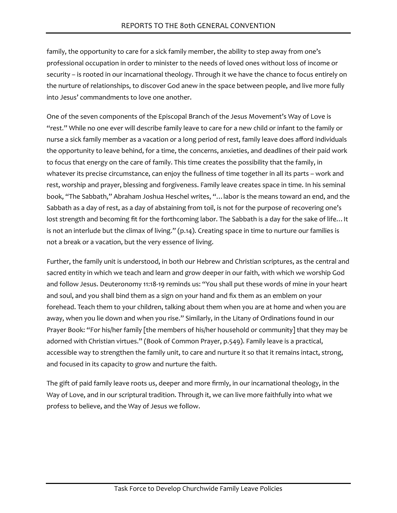family, the opportunity to care for a sick family member, the ability to step away from one's professional occupation in order to minister to the needs of loved ones without loss of income or security – is rooted in our incarnational theology. Through it we have the chance to focus entirely on the nurture of relationships, to discover God anew in the space between people, and live more fully into Jesus' commandments to love one another.

One of the seven components of the Episcopal Branch of the Jesus Movement's Way of Love is "rest." While no one ever will describe family leave to care for a new child or infant to the family or nurse a sick family member as a vacation or a long period of rest, family leave does afford individuals the opportunity to leave behind, for a time, the concerns, anxieties, and deadlines of their paid work to focus that energy on the care of family. This time creates the possibility that the family, in whatever its precise circumstance, can enjoy the fullness of time together in all its parts – work and rest, worship and prayer, blessing and forgiveness. Family leave creates space in time. In his seminal book, "The Sabbath," Abraham Joshua Heschel writes, "…labor is the means toward an end, and the Sabbath as a day of rest, as a day of abstaining from toil, is not for the purpose of recovering one's lost strength and becoming fit for the forthcoming labor. The Sabbath is a day for the sake of life…It is not an interlude but the climax of living." (p.14). Creating space in time to nurture our families is not a break or a vacation, but the very essence of living.

Further, the family unit is understood, in both our Hebrew and Christian scriptures, as the central and sacred entity in which we teach and learn and grow deeper in our faith, with which we worship God and follow Jesus. Deuteronomy 11:18-19 reminds us: "You shall put these words of mine in your heart and soul, and you shall bind them as a sign on your hand and fix them as an emblem on your forehead. Teach them to your children, talking about them when you are at home and when you are away, when you lie down and when you rise." Similarly, in the Litany of Ordinations found in our Prayer Book: "For his/her family [the members of his/her household or community] that they may be adorned with Christian virtues." (Book of Common Prayer, p.549). Family leave is a practical, accessible way to strengthen the family unit, to care and nurture it so that it remains intact, strong, and focused in its capacity to grow and nurture the faith.

The gift of paid family leave roots us, deeper and more firmly, in our incarnational theology, in the Way of Love, and in our scriptural tradition. Through it, we can live more faithfully into what we profess to believe, and the Way of Jesus we follow.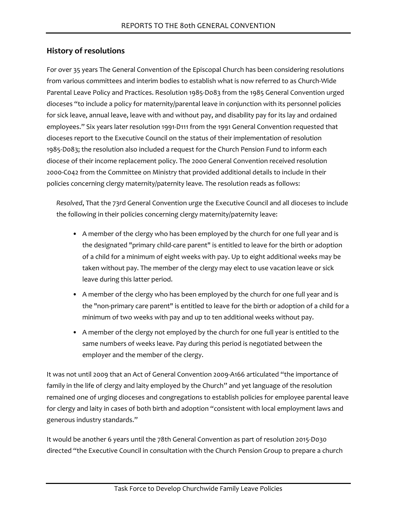### **History of resolutions**

For over 35 years The General Convention of the Episcopal Church has been considering resolutions from various committees and interim bodies to establish what is now referred to as Church-Wide Parental Leave Policy and Practices. Resolution 1985-D083 from the 1985 General Convention urged dioceses "to include a policy for maternity/parental leave in conjunction with its personnel policies for sick leave, annual leave, leave with and without pay, and disability pay for its lay and ordained employees." Six years later resolution 1991-D111 from the 1991 General Convention requested that dioceses report to the Executive Council on the status of their implementation of resolution 1985-D083; the resolution also included a request for the Church Pension Fund to inform each diocese of their income replacement policy. The 2000 General Convention received resolution 2000-C042 from the Committee on Ministry that provided additional details to include in their policies concerning clergy maternity/paternity leave. The resolution reads as follows:

*Resolved*, That the 73rd General Convention urge the Executive Council and all dioceses to include the following in their policies concerning clergy maternity/paternity leave:

- A member of the clergy who has been employed by the church for one full year and is the designated "primary child-care parent" is entitled to leave for the birth or adoption of a child for a minimum of eight weeks with pay. Up to eight additional weeks may be taken without pay. The member of the clergy may elect to use vacation leave or sick leave during this latter period.
- A member of the clergy who has been employed by the church for one full year and is the "non-primary care parent" is entitled to leave for the birth or adoption of a child for a minimum of two weeks with pay and up to ten additional weeks without pay.
- A member of the clergy not employed by the church for one full year is entitled to the same numbers of weeks leave. Pay during this period is negotiated between the employer and the member of the clergy.

It was not until 2009 that an Act of General Convention 2009-A166 articulated "the importance of family in the life of clergy and laity employed by the Church" and yet language of the resolution remained one of urging dioceses and congregations to establish policies for employee parental leave for clergy and laity in cases of both birth and adoption "consistent with local employment laws and generous industry standards."

It would be another 6 years until the 78th General Convention as part of resolution 2015-D030 directed "the Executive Council in consultation with the Church Pension Group to prepare a church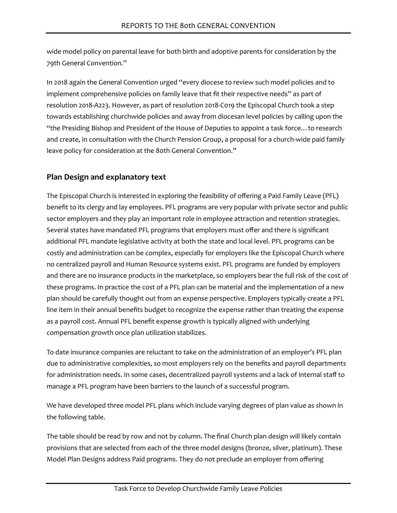wide model policy on parental leave for both birth and adoptive parents for consideration by the 79th General Convention."

In 2018 again the General Convention urged "every diocese to review such model policies and to implement comprehensive policies on family leave that fit their respective needs" as part of resolution 2018-A223. However, as part of resolution 2018-C019 the Episcopal Church took a step towards establishing churchwide policies and away from diocesan level policies by calling upon the "the Presiding Bishop and President of the House of Deputies to appoint a task force…to research and create, in consultation with the Church Pension Group, a proposal for a church-wide paid family leave policy for consideration at the 80th General Convention."

### **Plan Design and explanatory text**

The Episcopal Church is interested in exploring the feasibility of offering a Paid Family Leave (PFL) benefit to its clergy and lay employees. PFL programs are very popular with private sector and public sector employers and they play an important role in employee attraction and retention strategies. Several states have mandated PFL programs that employers must offer and there is significant additional PFL mandate legislative activity at both the state and local level. PFL programs can be costly and administration can be complex, especially for employers like the Episcopal Church where no centralized payroll and Human Resource systems exist. PFL programs are funded by employers and there are no insurance products in the marketplace, so employers bear the full risk of the cost of these programs. In practice the cost of a PFL plan can be material and the implementation of a new plan should be carefully thought out from an expense perspective. Employers typically create a PFL line item in their annual benefits budget to recognize the expense rather than treating the expense as a payroll cost. Annual PFL benefit expense growth is typically aligned with underlying compensation growth once plan utilization stabilizes.

To date insurance companies are reluctant to take on the administration of an employer's PFL plan due to administrative complexities, so most employers rely on the benefits and payroll departments for administration needs. In some cases, decentralized payroll systems and a lack of internal staff to manage a PFL program have been barriers to the launch of a successful program.

We have developed three model PFL plans which include varying degrees of plan value as shown in the following table.

The table should be read by row and not by column. The final Church plan design will likely contain provisions that are selected from each of the three model designs (bronze, silver, platinum). These Model Plan Designs address Paid programs. They do not preclude an employer from offering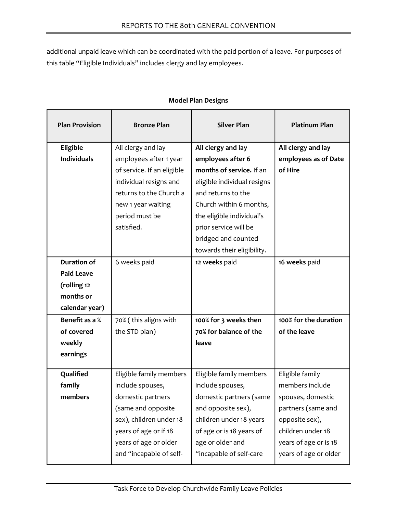additional unpaid leave which can be coordinated with the paid portion of a leave. For purposes of this table "Eligible Individuals" includes clergy and lay employees.

| <b>Plan Provision</b> | <b>Bronze Plan</b>         | <b>Silver Plan</b>          | <b>Platinum Plan</b>  |
|-----------------------|----------------------------|-----------------------------|-----------------------|
| Eligible              | All clergy and lay         | All clergy and lay          | All clergy and lay    |
| <b>Individuals</b>    | employees after 1 year     | employees after 6           | employees as of Date  |
|                       | of service. If an eligible | months of service. If an    | of Hire               |
|                       | individual resigns and     | eligible individual resigns |                       |
|                       | returns to the Church a    | and returns to the          |                       |
|                       | new 1 year waiting         | Church within 6 months,     |                       |
|                       | period must be             | the eligible individual's   |                       |
|                       | satisfied.                 | prior service will be       |                       |
|                       |                            | bridged and counted         |                       |
|                       |                            | towards their eligibility.  |                       |
| <b>Duration of</b>    | 6 weeks paid               | 12 weeks paid               | 16 weeks paid         |
| <b>Paid Leave</b>     |                            |                             |                       |
| (rolling 12           |                            |                             |                       |
| months or             |                            |                             |                       |
| calendar year)        |                            |                             |                       |
| Benefit as a %        | 70% (this aligns with      | 100% for 3 weeks then       | 100% for the duration |
| of covered            | the STD plan)              | 70% for balance of the      | of the leave          |
| weekly                |                            | leave                       |                       |
| earnings              |                            |                             |                       |
| Qualified             | Eligible family members    | Eligible family members     | Eligible family       |
| family                | include spouses,           | include spouses,            | members include       |
| members               | domestic partners          | domestic partners (same     | spouses, domestic     |
|                       | (same and opposite         | and opposite sex),          | partners (same and    |
|                       | sex), children under 18    | children under 18 years     | opposite sex),        |
|                       | years of age or if 18      | of age or is 18 years of    | children under 18     |
|                       | years of age or older      | age or older and            | years of age or is 18 |
|                       | and "incapable of self-    | "incapable of self-care     | years of age or older |

#### **Model Plan Designs**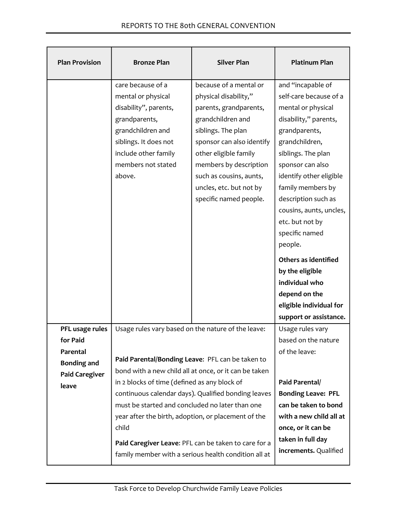| <b>Plan Provision</b> | <b>Bronze Plan</b>                                                                                     | <b>Silver Plan</b>                                   | <b>Platinum Plan</b>      |
|-----------------------|--------------------------------------------------------------------------------------------------------|------------------------------------------------------|---------------------------|
|                       | care because of a                                                                                      | because of a mental or                               | and "incapable of         |
|                       | mental or physical                                                                                     | physical disability,"                                | self-care because of a    |
|                       | disability", parents,                                                                                  | parents, grandparents,                               | mental or physical        |
|                       | grandparents,                                                                                          | grandchildren and                                    | disability," parents,     |
|                       | grandchildren and                                                                                      | siblings. The plan                                   | grandparents,             |
|                       | siblings. It does not                                                                                  | sponsor can also identify                            | grandchildren,            |
|                       | include other family                                                                                   | other eligible family                                | siblings. The plan        |
|                       | members not stated                                                                                     | members by description                               | sponsor can also          |
|                       | above.                                                                                                 | such as cousins, aunts,                              | identify other eligible   |
|                       |                                                                                                        | uncles, etc. but not by                              | family members by         |
|                       |                                                                                                        | specific named people.                               | description such as       |
|                       |                                                                                                        |                                                      | cousins, aunts, uncles,   |
|                       |                                                                                                        |                                                      | etc. but not by           |
|                       |                                                                                                        |                                                      | specific named            |
|                       |                                                                                                        |                                                      | people.                   |
|                       |                                                                                                        |                                                      | Others as identified      |
|                       |                                                                                                        |                                                      | by the eligible           |
|                       |                                                                                                        |                                                      | individual who            |
|                       |                                                                                                        |                                                      | depend on the             |
|                       |                                                                                                        |                                                      | eligible individual for   |
|                       |                                                                                                        |                                                      | support or assistance.    |
| PFL usage rules       | Usage rules vary based on the nature of the leave:                                                     |                                                      | Usage rules vary          |
| for Paid              |                                                                                                        |                                                      | based on the nature       |
| Parental              |                                                                                                        |                                                      | of the leave:             |
| <b>Bonding and</b>    | Paid Parental/Bonding Leave: PFL can be taken to                                                       |                                                      |                           |
| <b>Paid Caregiver</b> | bond with a new child all at once, or it can be taken<br>in 2 blocks of time (defined as any block of  |                                                      | Paid Parental/            |
| leave                 |                                                                                                        |                                                      | <b>Bonding Leave: PFL</b> |
|                       | continuous calendar days). Qualified bonding leaves<br>must be started and concluded no later than one |                                                      | can be taken to bond      |
|                       | year after the birth, adoption, or placement of the                                                    |                                                      | with a new child all at   |
|                       | child                                                                                                  |                                                      | once, or it can be        |
|                       |                                                                                                        |                                                      | taken in full day         |
|                       |                                                                                                        | Paid Caregiver Leave: PFL can be taken to care for a | increments. Qualified     |
|                       |                                                                                                        | family member with a serious health condition all at |                           |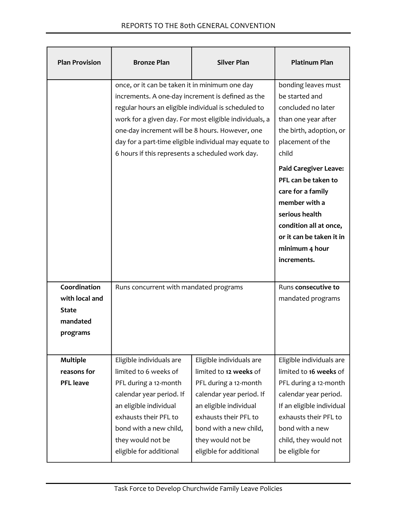| <b>Plan Provision</b>                                                  | <b>Bronze Plan</b>                                                                                                                                                                                                                                                                                                                                                                    | <b>Silver Plan</b>                                                                                                                                                                                                                   | <b>Platinum Plan</b>                                                                                                                                                                                                                                                                                                                             |
|------------------------------------------------------------------------|---------------------------------------------------------------------------------------------------------------------------------------------------------------------------------------------------------------------------------------------------------------------------------------------------------------------------------------------------------------------------------------|--------------------------------------------------------------------------------------------------------------------------------------------------------------------------------------------------------------------------------------|--------------------------------------------------------------------------------------------------------------------------------------------------------------------------------------------------------------------------------------------------------------------------------------------------------------------------------------------------|
|                                                                        | once, or it can be taken it in minimum one day<br>increments. A one-day increment is defined as the<br>regular hours an eligible individual is scheduled to<br>work for a given day. For most eligible individuals, a<br>one-day increment will be 8 hours. However, one<br>day for a part-time eligible individual may equate to<br>6 hours if this represents a scheduled work day. |                                                                                                                                                                                                                                      | bonding leaves must<br>be started and<br>concluded no later<br>than one year after<br>the birth, adoption, or<br>placement of the<br>child<br><b>Paid Caregiver Leave:</b><br>PFL can be taken to<br>care for a family<br>member with a<br>serious health<br>condition all at once,<br>or it can be taken it in<br>minimum 4 hour<br>increments. |
| Coordination<br>with local and<br><b>State</b><br>mandated<br>programs | Runs concurrent with mandated programs                                                                                                                                                                                                                                                                                                                                                |                                                                                                                                                                                                                                      | Runs consecutive to<br>mandated programs                                                                                                                                                                                                                                                                                                         |
| <b>Multiple</b><br>reasons for<br><b>PFL</b> leave                     | Eligible individuals are<br>limited to 6 weeks of<br>PFL during a 12-month<br>calendar year period. If<br>an eligible individual<br>exhausts their PFL to<br>bond with a new child,<br>they would not be<br>eligible for additional                                                                                                                                                   | Eligible individuals are<br>limited to 12 weeks of<br>PFL during a 12-month<br>calendar year period. If<br>an eligible individual<br>exhausts their PFL to<br>bond with a new child,<br>they would not be<br>eligible for additional | Eligible individuals are<br>limited to 16 weeks of<br>PFL during a 12-month<br>calendar year period.<br>If an eligible individual<br>exhausts their PFL to<br>bond with a new<br>child, they would not<br>be eligible for                                                                                                                        |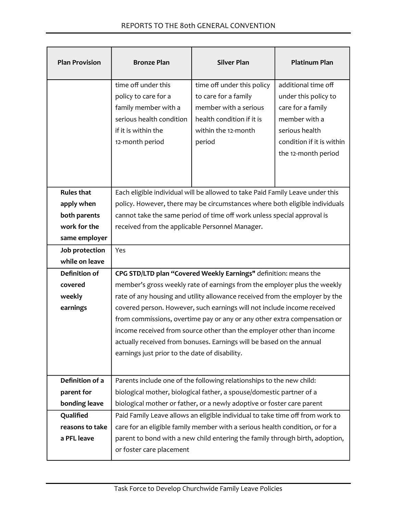| <b>Plan Provision</b> | <b>Bronze Plan</b>                                                                                                                        | <b>Silver Plan</b>                                                                                                                        | <b>Platinum Plan</b>                                                                                                                                    |
|-----------------------|-------------------------------------------------------------------------------------------------------------------------------------------|-------------------------------------------------------------------------------------------------------------------------------------------|---------------------------------------------------------------------------------------------------------------------------------------------------------|
|                       | time off under this<br>policy to care for a<br>family member with a<br>serious health condition<br>if it is within the<br>12-month period | time off under this policy<br>to care for a family<br>member with a serious<br>health condition if it is<br>within the 12-month<br>period | additional time off<br>under this policy to<br>care for a family<br>member with a<br>serious health<br>condition if it is within<br>the 12-month period |
| <b>Rules that</b>     |                                                                                                                                           | Each eligible individual will be allowed to take Paid Family Leave under this                                                             |                                                                                                                                                         |
| apply when            |                                                                                                                                           | policy. However, there may be circumstances where both eligible individuals                                                               |                                                                                                                                                         |
| both parents          |                                                                                                                                           | cannot take the same period of time off work unless special approval is                                                                   |                                                                                                                                                         |
| work for the          | received from the applicable Personnel Manager.                                                                                           |                                                                                                                                           |                                                                                                                                                         |
| same employer         |                                                                                                                                           |                                                                                                                                           |                                                                                                                                                         |
| Job protection        | Yes                                                                                                                                       |                                                                                                                                           |                                                                                                                                                         |
| while on leave        |                                                                                                                                           |                                                                                                                                           |                                                                                                                                                         |
| <b>Definition of</b>  | CPG STD/LTD plan "Covered Weekly Earnings" definition: means the                                                                          |                                                                                                                                           |                                                                                                                                                         |
| covered               | member's gross weekly rate of earnings from the employer plus the weekly                                                                  |                                                                                                                                           |                                                                                                                                                         |
| weekly                | rate of any housing and utility allowance received from the employer by the                                                               |                                                                                                                                           |                                                                                                                                                         |
| earnings              | covered person. However, such earnings will not include income received                                                                   |                                                                                                                                           |                                                                                                                                                         |
|                       |                                                                                                                                           | from commissions, overtime pay or any or any other extra compensation or                                                                  |                                                                                                                                                         |
|                       | income received from source other than the employer other than income                                                                     |                                                                                                                                           |                                                                                                                                                         |
|                       | actually received from bonuses. Earnings will be based on the annual<br>earnings just prior to the date of disability.                    |                                                                                                                                           |                                                                                                                                                         |
|                       |                                                                                                                                           |                                                                                                                                           |                                                                                                                                                         |
| Definition of a       | Parents include one of the following relationships to the new child:                                                                      |                                                                                                                                           |                                                                                                                                                         |
| parent for            |                                                                                                                                           | biological mother, biological father, a spouse/domestic partner of a                                                                      |                                                                                                                                                         |
| bonding leave         |                                                                                                                                           | biological mother or father, or a newly adoptive or foster care parent                                                                    |                                                                                                                                                         |
| Qualified             |                                                                                                                                           | Paid Family Leave allows an eligible individual to take time off from work to                                                             |                                                                                                                                                         |
| reasons to take       | care for an eligible family member with a serious health condition, or for a                                                              |                                                                                                                                           |                                                                                                                                                         |
| a PFL leave           | parent to bond with a new child entering the family through birth, adoption,                                                              |                                                                                                                                           |                                                                                                                                                         |
|                       | or foster care placement                                                                                                                  |                                                                                                                                           |                                                                                                                                                         |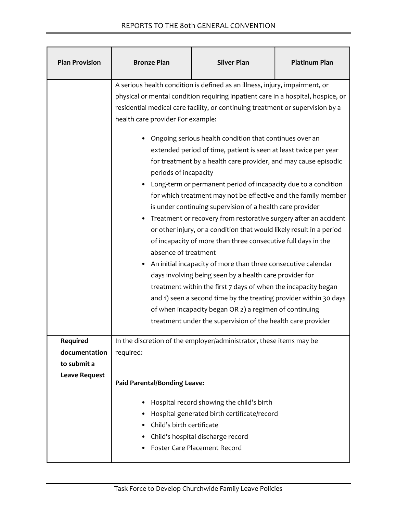| <b>Plan Provision</b>                           | <b>Bronze Plan</b>                                                                                                                                                                                                                                                                                                                                                                                                                                                                                                                                                                                                                                                                                                                                                                                                                                                                                                                                                                                                                                                                                                                                                                                                                                                                   | <b>Silver Plan</b>                                                                                                                                                   | <b>Platinum Plan</b> |
|-------------------------------------------------|--------------------------------------------------------------------------------------------------------------------------------------------------------------------------------------------------------------------------------------------------------------------------------------------------------------------------------------------------------------------------------------------------------------------------------------------------------------------------------------------------------------------------------------------------------------------------------------------------------------------------------------------------------------------------------------------------------------------------------------------------------------------------------------------------------------------------------------------------------------------------------------------------------------------------------------------------------------------------------------------------------------------------------------------------------------------------------------------------------------------------------------------------------------------------------------------------------------------------------------------------------------------------------------|----------------------------------------------------------------------------------------------------------------------------------------------------------------------|----------------------|
|                                                 | A serious health condition is defined as an illness, injury, impairment, or<br>physical or mental condition requiring inpatient care in a hospital, hospice, or<br>residential medical care facility, or continuing treatment or supervision by a<br>health care provider For example:<br>Ongoing serious health condition that continues over an<br>extended period of time, patient is seen at least twice per year<br>for treatment by a health care provider, and may cause episodic<br>periods of incapacity<br>Long-term or permanent period of incapacity due to a condition<br>for which treatment may not be effective and the family member<br>is under continuing supervision of a health care provider<br>Treatment or recovery from restorative surgery after an accident<br>or other injury, or a condition that would likely result in a period<br>of incapacity of more than three consecutive full days in the<br>absence of treatment<br>An initial incapacity of more than three consecutive calendar<br>days involving being seen by a health care provider for<br>treatment within the first 7 days of when the incapacity began<br>and 1) seen a second time by the treating provider within 30 days<br>of when incapacity began OR 2) a regimen of continuing |                                                                                                                                                                      |                      |
| <b>Required</b><br>documentation<br>to submit a | required:                                                                                                                                                                                                                                                                                                                                                                                                                                                                                                                                                                                                                                                                                                                                                                                                                                                                                                                                                                                                                                                                                                                                                                                                                                                                            | In the discretion of the employer/administrator, these items may be                                                                                                  |                      |
| <b>Leave Request</b>                            | <b>Paid Parental/Bonding Leave:</b>                                                                                                                                                                                                                                                                                                                                                                                                                                                                                                                                                                                                                                                                                                                                                                                                                                                                                                                                                                                                                                                                                                                                                                                                                                                  |                                                                                                                                                                      |                      |
|                                                 | ٠<br>Child's birth certificate                                                                                                                                                                                                                                                                                                                                                                                                                                                                                                                                                                                                                                                                                                                                                                                                                                                                                                                                                                                                                                                                                                                                                                                                                                                       | Hospital record showing the child's birth<br>Hospital generated birth certificate/record<br>Child's hospital discharge record<br><b>Foster Care Placement Record</b> |                      |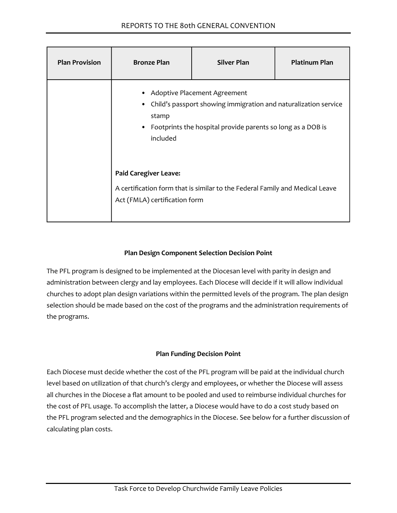| <b>Plan Provision</b> | <b>Bronze Plan</b>                                                                                                                                                                  | <b>Silver Plan</b>                                                           | <b>Platinum Plan</b> |  |
|-----------------------|-------------------------------------------------------------------------------------------------------------------------------------------------------------------------------------|------------------------------------------------------------------------------|----------------------|--|
|                       | Adoptive Placement Agreement<br>Child's passport showing immigration and naturalization service<br>stamp<br>Footprints the hospital provide parents so long as a DOB is<br>included |                                                                              |                      |  |
|                       | <b>Paid Caregiver Leave:</b><br>Act (FMLA) certification form                                                                                                                       | A certification form that is similar to the Federal Family and Medical Leave |                      |  |

#### **Plan Design Component Selection Decision Point**

The PFL program is designed to be implemented at the Diocesan level with parity in design and administration between clergy and lay employees. Each Diocese will decide if it will allow individual churches to adopt plan design variations within the permitted levels of the program. The plan design selection should be made based on the cost of the programs and the administration requirements of the programs.

#### **Plan Funding Decision Point**

Each Diocese must decide whether the cost of the PFL program will be paid at the individual church level based on utilization of that church's clergy and employees, or whether the Diocese will assess all churches in the Diocese a flat amount to be pooled and used to reimburse individual churches for the cost of PFL usage. To accomplish the latter, a Diocese would have to do a cost study based on the PFL program selected and the demographics in the Diocese. See below for a further discussion of calculating plan costs.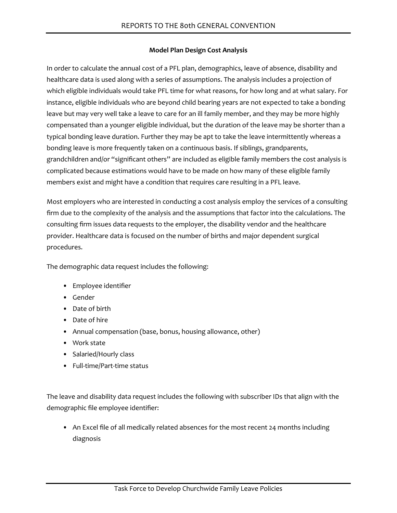#### **Model Plan Design Cost Analysis**

In order to calculate the annual cost of a PFL plan, demographics, leave of absence, disability and healthcare data is used along with a series of assumptions. The analysis includes a projection of which eligible individuals would take PFL time for what reasons, for how long and at what salary. For instance, eligible individuals who are beyond child bearing years are not expected to take a bonding leave but may very well take a leave to care for an ill family member, and they may be more highly compensated than a younger eligible individual, but the duration of the leave may be shorter than a typical bonding leave duration. Further they may be apt to take the leave intermittently whereas a bonding leave is more frequently taken on a continuous basis. If siblings, grandparents, grandchildren and/or "significant others" are included as eligible family members the cost analysis is complicated because estimations would have to be made on how many of these eligible family members exist and might have a condition that requires care resulting in a PFL leave.

Most employers who are interested in conducting a cost analysis employ the services of a consulting firm due to the complexity of the analysis and the assumptions that factor into the calculations. The consulting firm issues data requests to the employer, the disability vendor and the healthcare provider. Healthcare data is focused on the number of births and major dependent surgical procedures.

The demographic data request includes the following:

- Employee identifier
- Gender
- Date of birth
- Date of hire
- Annual compensation (base, bonus, housing allowance, other)
- Work state
- Salaried/Hourly class
- Full-time/Part-time status

The leave and disability data request includes the following with subscriber IDs that align with the demographic file employee identifier:

• An Excel file of all medically related absences for the most recent 24 months including diagnosis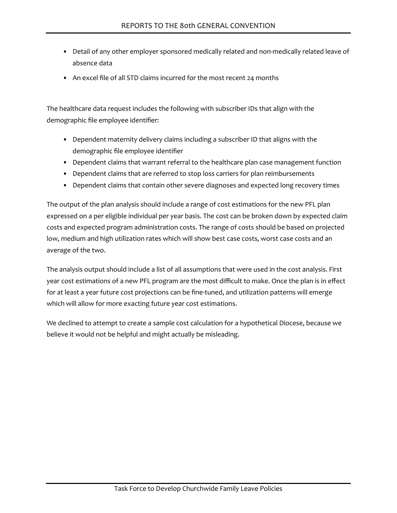- Detail of any other employer sponsored medically related and non-medically related leave of absence data
- An excel file of all STD claims incurred for the most recent 24 months

The healthcare data request includes the following with subscriber IDs that align with the demographic file employee identifier:

- Dependent maternity delivery claims including a subscriber ID that aligns with the demographic file employee identifier
- Dependent claims that warrant referral to the healthcare plan case management function
- Dependent claims that are referred to stop loss carriers for plan reimbursements
- Dependent claims that contain other severe diagnoses and expected long recovery times

The output of the plan analysis should include a range of cost estimations for the new PFL plan expressed on a per eligible individual per year basis. The cost can be broken down by expected claim costs and expected program administration costs. The range of costs should be based on projected low, medium and high utilization rates which will show best case costs, worst case costs and an average of the two.

The analysis output should include a list of all assumptions that were used in the cost analysis. First year cost estimations of a new PFL program are the most difficult to make. Once the plan is in effect for at least a year future cost projections can be fine-tuned, and utilization patterns will emerge which will allow for more exacting future year cost estimations.

We declined to attempt to create a sample cost calculation for a hypothetical Diocese, because we believe it would not be helpful and might actually be misleading.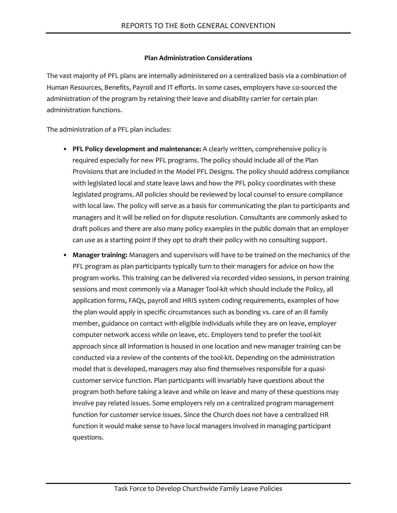#### **Plan Administration Considerations**

The vast majority of PFL plans are internally administered on a centralized basis via a combination of Human Resources, Benefits, Payroll and IT efforts. In some cases, employers have co-sourced the administration of the program by retaining their leave and disability carrier for certain plan administration functions.

The administration of a PFL plan includes:

- **PFL Policy development and maintenance:** A clearly written, comprehensive policy is required especially for new PFL programs. The policy should include all of the Plan Provisions that are included in the Model PFL Designs. The policy should address compliance with legislated local and state leave laws and how the PFL policy coordinates with these legislated programs. All policies should be reviewed by local counsel to ensure compliance with local law. The policy will serve as a basis for communicating the plan to participants and managers and it will be relied on for dispute resolution. Consultants are commonly asked to draft polices and there are also many policy examples in the public domain that an employer can use as a starting point if they opt to draft their policy with no consulting support.
- **Manager training:** Managers and supervisors will have to be trained on the mechanics of the PFL program as plan participants typically turn to their managers for advice on how the program works. This training can be delivered via recorded video sessions, in person training sessions and most commonly via a Manager Tool-kit which should include the Policy, all application forms, FAQs, payroll and HRIS system coding requirements, examples of how the plan would apply in specific circumstances such as bonding vs. care of an ill family member, guidance on contact with eligible individuals while they are on leave, employer computer network access while on leave, etc. Employers tend to prefer the tool-kit approach since all information is housed in one location and new manager training can be conducted via a review of the contents of the tool-kit. Depending on the administration model that is developed, managers may also find themselves responsible for a quasicustomer service function. Plan participants will invariably have questions about the program both before taking a leave and while on leave and many of these questions may involve pay related issues. Some employers rely on a centralized program management function for customer service issues. Since the Church does not have a centralized HR function it would make sense to have local managers involved in managing participant questions.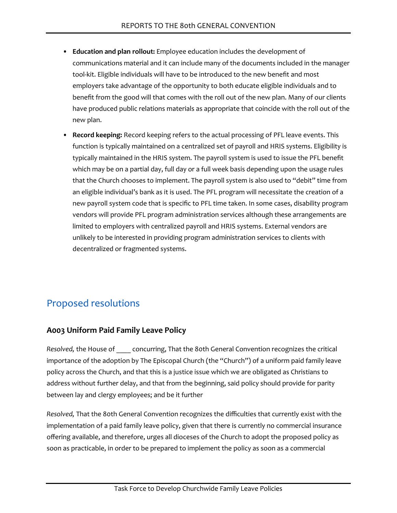- **Education and plan rollout:** Employee education includes the development of communications material and it can include many of the documents included in the manager tool-kit. Eligible individuals will have to be introduced to the new benefit and most employers take advantage of the opportunity to both educate eligible individuals and to benefit from the good will that comes with the roll out of the new plan. Many of our clients have produced public relations materials as appropriate that coincide with the roll out of the new plan.
- **Record keeping:** Record keeping refers to the actual processing of PFL leave events. This function is typically maintained on a centralized set of payroll and HRIS systems. Eligibility is typically maintained in the HRIS system. The payroll system is used to issue the PFL benefit which may be on a partial day, full day or a full week basis depending upon the usage rules that the Church chooses to implement. The payroll system is also used to "debit" time from an eligible individual's bank as it is used. The PFL program will necessitate the creation of a new payroll system code that is specific to PFL time taken. In some cases, disability program vendors will provide PFL program administration services although these arrangements are limited to employers with centralized payroll and HRIS systems. External vendors are unlikely to be interested in providing program administration services to clients with decentralized or fragmented systems.

# Proposed resolutions

# **A003 Uniform Paid Family Leave Policy**

*Resolved,* the House of \_\_\_\_ concurring, That the 80th General Convention recognizes the critical importance of the adoption by The Episcopal Church (the "Church") of a uniform paid family leave policy across the Church, and that this is a justice issue which we are obligated as Christians to address without further delay, and that from the beginning, said policy should provide for parity between lay and clergy employees; and be it further

*Resolved,* That the 80th General Convention recognizes the difficulties that currently exist with the implementation of a paid family leave policy, given that there is currently no commercial insurance offering available, and therefore, urges all dioceses of the Church to adopt the proposed policy as soon as practicable, in order to be prepared to implement the policy as soon as a commercial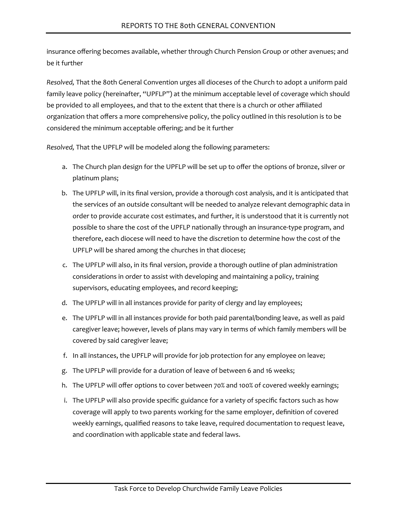insurance offering becomes available, whether through Church Pension Group or other avenues; and be it further

*Resolved,* That the 80th General Convention urges all dioceses of the Church to adopt a uniform paid family leave policy (hereinafter, "UPFLP") at the minimum acceptable level of coverage which should be provided to all employees, and that to the extent that there is a church or other affiliated organization that offers a more comprehensive policy, the policy outlined in this resolution is to be considered the minimum acceptable offering; and be it further

*Resolved,* That the UPFLP will be modeled along the following parameters:

- a. The Church plan design for the UPFLP will be set up to offer the options of bronze, silver or platinum plans;
- b. The UPFLP will, in its final version, provide a thorough cost analysis, and it is anticipated that the services of an outside consultant will be needed to analyze relevant demographic data in order to provide accurate cost estimates, and further, it is understood that it is currently not possible to share the cost of the UPFLP nationally through an insurance-type program, and therefore, each diocese will need to have the discretion to determine how the cost of the UPFLP will be shared among the churches in that diocese;
- c. The UPFLP will also, in its final version, provide a thorough outline of plan administration considerations in order to assist with developing and maintaining a policy, training supervisors, educating employees, and record keeping;
- d. The UPFLP will in all instances provide for parity of clergy and lay employees;
- e. The UPFLP will in all instances provide for both paid parental/bonding leave, as well as paid caregiver leave; however, levels of plans may vary in terms of which family members will be covered by said caregiver leave;
- f. In all instances, the UPFLP will provide for job protection for any employee on leave;
- g. The UPFLP will provide for a duration of leave of between 6 and 16 weeks;
- h. The UPFLP will offer options to cover between 70% and 100% of covered weekly earnings;
- i. The UPFLP will also provide specific guidance for a variety of specific factors such as how coverage will apply to two parents working for the same employer, definition of covered weekly earnings, qualified reasons to take leave, required documentation to request leave, and coordination with applicable state and federal laws.